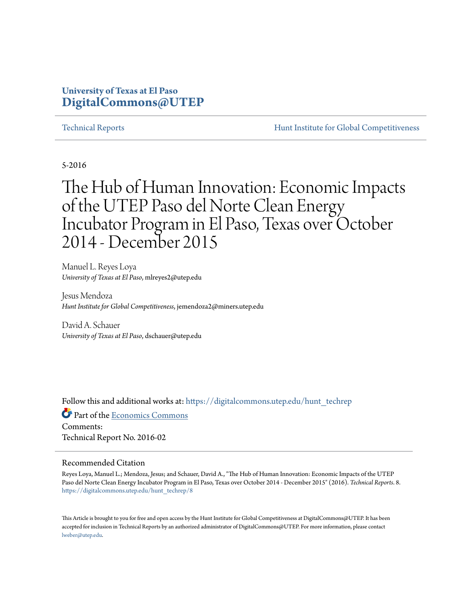### **University of Texas at El Paso [DigitalCommons@UTEP](https://digitalcommons.utep.edu?utm_source=digitalcommons.utep.edu%2Fhunt_techrep%2F8&utm_medium=PDF&utm_campaign=PDFCoverPages)**

[Technical Reports](https://digitalcommons.utep.edu/hunt_techrep?utm_source=digitalcommons.utep.edu%2Fhunt_techrep%2F8&utm_medium=PDF&utm_campaign=PDFCoverPages) [Hunt Institute for Global Competitiveness](https://digitalcommons.utep.edu/hunt?utm_source=digitalcommons.utep.edu%2Fhunt_techrep%2F8&utm_medium=PDF&utm_campaign=PDFCoverPages)

5-2016

# The Hub of Human Innovation: Economic Impacts of the UTEP Paso del Norte Clean Energy Incubator Program in El Paso, Texas over October 2014 - December 2015

Manuel L. Reyes Loya *University of Texas at El Paso*, mlreyes2@utep.edu

Jesus Mendoza *Hunt Institute for Global Competitiveness*, jemendoza2@miners.utep.edu

David A. Schauer *University of Texas at El Paso*, dschauer@utep.edu

Follow this and additional works at: [https://digitalcommons.utep.edu/hunt\\_techrep](https://digitalcommons.utep.edu/hunt_techrep?utm_source=digitalcommons.utep.edu%2Fhunt_techrep%2F8&utm_medium=PDF&utm_campaign=PDFCoverPages)

Part of the [Economics Commons](http://network.bepress.com/hgg/discipline/340?utm_source=digitalcommons.utep.edu%2Fhunt_techrep%2F8&utm_medium=PDF&utm_campaign=PDFCoverPages) Comments: Technical Report No. 2016-02

#### Recommended Citation

Reyes Loya, Manuel L.; Mendoza, Jesus; and Schauer, David A., "The Hub of Human Innovation: Economic Impacts of the UTEP Paso del Norte Clean Energy Incubator Program in El Paso, Texas over October 2014 - December 2015" (2016). *Technical Reports*. 8. [https://digitalcommons.utep.edu/hunt\\_techrep/8](https://digitalcommons.utep.edu/hunt_techrep/8?utm_source=digitalcommons.utep.edu%2Fhunt_techrep%2F8&utm_medium=PDF&utm_campaign=PDFCoverPages)

This Article is brought to you for free and open access by the Hunt Institute for Global Competitiveness at DigitalCommons@UTEP. It has been accepted for inclusion in Technical Reports by an authorized administrator of DigitalCommons@UTEP. For more information, please contact [lweber@utep.edu](mailto:lweber@utep.edu).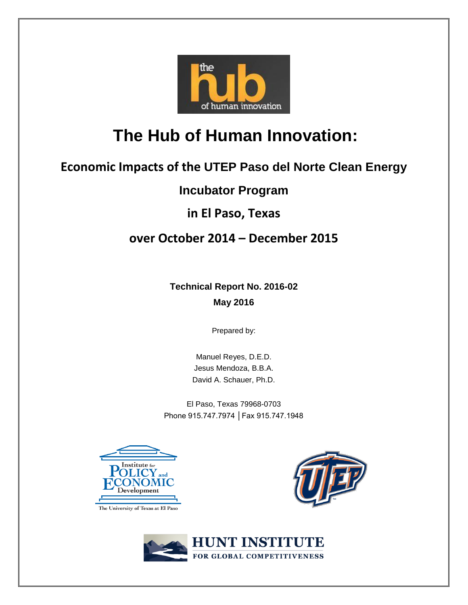

# **The Hub of Human Innovation:**

## **Economic Impacts of the UTEP Paso del Norte Clean Energy**

### **Incubator Program**

### **in El Paso, Texas**

### **over October 2014 – December 2015**

**Technical Report No. 2016-02 May 2016**

Prepared by:

Manuel Reyes, D.E.D. Jesus Mendoza, B.B.A. David A. Schauer, Ph.D.

El Paso, Texas 79968-0703 Phone 915.747.7974 │Fax 915.747.1948







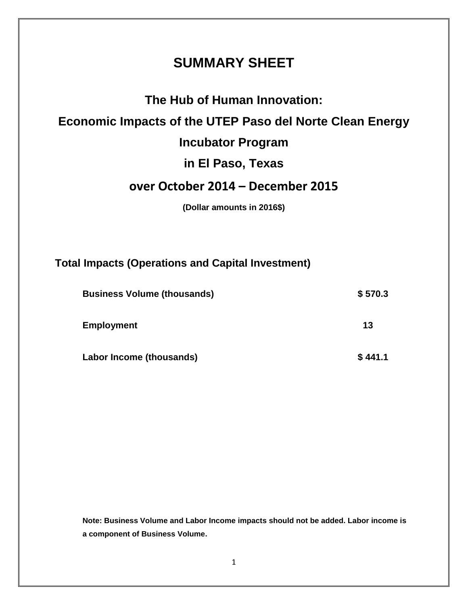### **SUMMARY SHEET**

### **The Hub of Human Innovation:**

### **Economic Impacts of the UTEP Paso del Norte Clean Energy**

### **Incubator Program**

### **in El Paso, Texas**

### **over October 2014 – December 2015**

**(Dollar amounts in 2016\$)**

### **Total Impacts (Operations and Capital Investment)**

| <b>Business Volume (thousands)</b> | \$570.3 |
|------------------------------------|---------|
| <b>Employment</b>                  | 13      |
| Labor Income (thousands)           | \$441.1 |

**Note: Business Volume and Labor Income impacts should not be added. Labor income is a component of Business Volume.**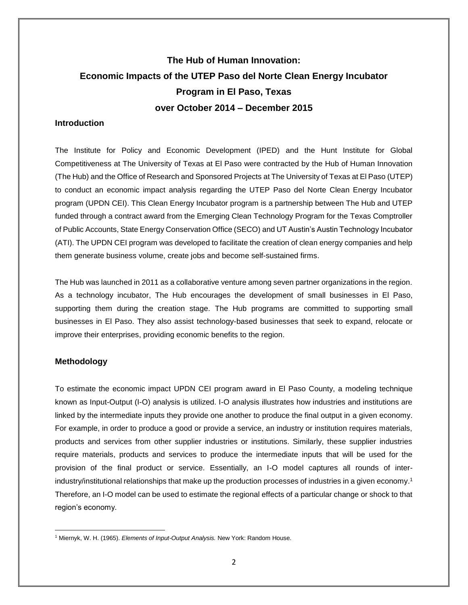### **The Hub of Human Innovation: Economic Impacts of the UTEP Paso del Norte Clean Energy Incubator Program in El Paso, Texas over October 2014 – December 2015**

#### **Introduction**

The Institute for Policy and Economic Development (IPED) and the Hunt Institute for Global Competitiveness at The University of Texas at El Paso were contracted by the Hub of Human Innovation (The Hub) and the Office of Research and Sponsored Projects at The University of Texas at El Paso (UTEP) to conduct an economic impact analysis regarding the UTEP Paso del Norte Clean Energy Incubator program (UPDN CEI). This Clean Energy Incubator program is a partnership between The Hub and UTEP funded through a contract award from the Emerging Clean Technology Program for the Texas Comptroller of Public Accounts, State Energy Conservation Office (SECO) and UT Austin's Austin Technology Incubator (ATI). The UPDN CEI program was developed to facilitate the creation of clean energy companies and help them generate business volume, create jobs and become self-sustained firms.

The Hub was launched in 2011 as a collaborative venture among seven partner organizations in the region. As a technology incubator, The Hub encourages the development of small businesses in El Paso, supporting them during the creation stage. The Hub programs are committed to supporting small businesses in El Paso. They also assist technology-based businesses that seek to expand, relocate or improve their enterprises, providing economic benefits to the region.

### **Methodology**

To estimate the economic impact UPDN CEI program award in El Paso County, a modeling technique known as Input-Output (I-O) analysis is utilized. I-O analysis illustrates how industries and institutions are linked by the intermediate inputs they provide one another to produce the final output in a given economy. For example, in order to produce a good or provide a service, an industry or institution requires materials, products and services from other supplier industries or institutions. Similarly, these supplier industries require materials, products and services to produce the intermediate inputs that will be used for the provision of the final product or service. Essentially, an I-O model captures all rounds of interindustry/institutional relationships that make up the production processes of industries in a given economy.<sup>1</sup> Therefore, an I-O model can be used to estimate the regional effects of a particular change or shock to that region's economy.

 $\overline{\phantom{a}}$ 1 Miernyk, W. H. (1965). *Elements of Input-Output Analysis.* New York: Random House.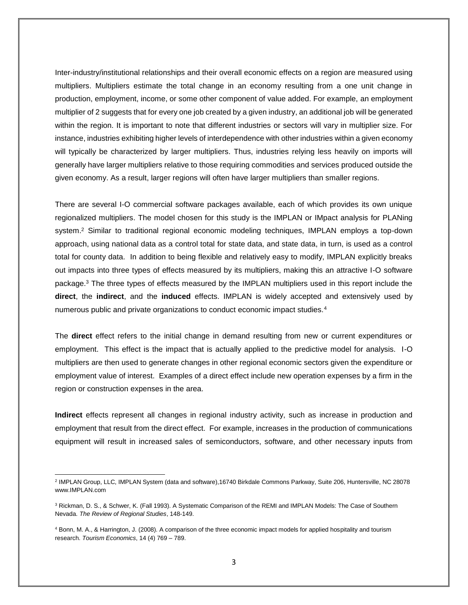Inter-industry/institutional relationships and their overall economic effects on a region are measured using multipliers. Multipliers estimate the total change in an economy resulting from a one unit change in production, employment, income, or some other component of value added. For example, an employment multiplier of 2 suggests that for every one job created by a given industry, an additional job will be generated within the region. It is important to note that different industries or sectors will vary in multiplier size. For instance, industries exhibiting higher levels of interdependence with other industries within a given economy will typically be characterized by larger multipliers. Thus, industries relying less heavily on imports will generally have larger multipliers relative to those requiring commodities and services produced outside the given economy. As a result, larger regions will often have larger multipliers than smaller regions.

There are several I-O commercial software packages available, each of which provides its own unique regionalized multipliers. The model chosen for this study is the IMPLAN or IMpact analysis for PLANing system.<sup>2</sup> Similar to traditional regional economic modeling techniques, IMPLAN employs a top-down approach, using national data as a control total for state data, and state data, in turn, is used as a control total for county data. In addition to being flexible and relatively easy to modify, IMPLAN explicitly breaks out impacts into three types of effects measured by its multipliers, making this an attractive I-O software package.<sup>3</sup> The three types of effects measured by the IMPLAN multipliers used in this report include the **direct**, the **indirect**, and the **induced** effects. IMPLAN is widely accepted and extensively used by numerous public and private organizations to conduct economic impact studies.<sup>4</sup>

The **direct** effect refers to the initial change in demand resulting from new or current expenditures or employment. This effect is the impact that is actually applied to the predictive model for analysis. I-O multipliers are then used to generate changes in other regional economic sectors given the expenditure or employment value of interest. Examples of a direct effect include new operation expenses by a firm in the region or construction expenses in the area.

**Indirect** effects represent all changes in regional industry activity, such as increase in production and employment that result from the direct effect. For example, increases in the production of communications equipment will result in increased sales of semiconductors, software, and other necessary inputs from

 $\overline{a}$ 2 IMPLAN Group, LLC, IMPLAN System (data and software),16740 Birkdale Commons Parkway, Suite 206, Huntersville, NC 28078 www.IMPLAN.com

<sup>&</sup>lt;sup>3</sup> Rickman, D. S., & Schwer, K. (Fall 1993). A Systematic Comparison of the REMI and IMPLAN Models: The Case of Southern Nevada. *The Review of Regional Studies*, 148-149.

<sup>4</sup> Bonn, M. A., & Harrington, J. (2008). A comparison of the three economic impact models for applied hospitality and tourism research. *Tourism Economics*, 14 (4) 769 – 789.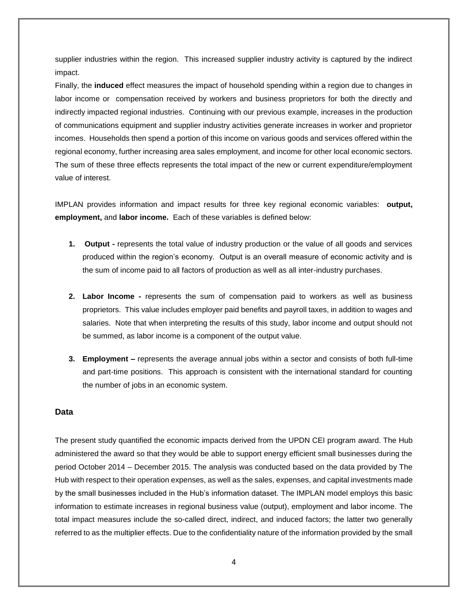supplier industries within the region. This increased supplier industry activity is captured by the indirect impact.

Finally, the **induced** effect measures the impact of household spending within a region due to changes in labor income or compensation received by workers and business proprietors for both the directly and indirectly impacted regional industries. Continuing with our previous example, increases in the production of communications equipment and supplier industry activities generate increases in worker and proprietor incomes. Households then spend a portion of this income on various goods and services offered within the regional economy, further increasing area sales employment, and income for other local economic sectors. The sum of these three effects represents the total impact of the new or current expenditure/employment value of interest.

IMPLAN provides information and impact results for three key regional economic variables: **output, employment,** and **labor income.** Each of these variables is defined below:

- **1. Output** represents the total value of industry production or the value of all goods and services produced within the region's economy. Output is an overall measure of economic activity and is the sum of income paid to all factors of production as well as all inter-industry purchases.
- **2. Labor Income -** represents the sum of compensation paid to workers as well as business proprietors. This value includes employer paid benefits and payroll taxes, in addition to wages and salaries. Note that when interpreting the results of this study, labor income and output should not be summed, as labor income is a component of the output value.
- **3. Employment –** represents the average annual jobs within a sector and consists of both full-time and part-time positions. This approach is consistent with the international standard for counting the number of jobs in an economic system.

#### **Data**

The present study quantified the economic impacts derived from the UPDN CEI program award. The Hub administered the award so that they would be able to support energy efficient small businesses during the period October 2014 – December 2015. The analysis was conducted based on the data provided by The Hub with respect to their operation expenses, as well as the sales, expenses, and capital investments made by the small businesses included in the Hub's information dataset. The IMPLAN model employs this basic information to estimate increases in regional business value (output), employment and labor income. The total impact measures include the so-called direct, indirect, and induced factors; the latter two generally referred to as the multiplier effects. Due to the confidentiality nature of the information provided by the small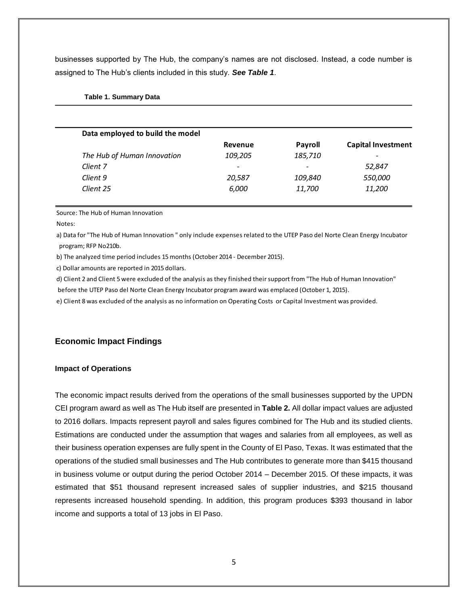businesses supported by The Hub, the company's names are not disclosed. Instead, a code number is assigned to The Hub's clients included in this study. *See Table 1*.

| Data employed to build the model |                          |                |                           |
|----------------------------------|--------------------------|----------------|---------------------------|
|                                  | Revenue                  | <b>Payroll</b> | <b>Capital Investment</b> |
| The Hub of Human Innovation      | 109,205                  | 185,710        | $\overline{\phantom{a}}$  |
| Client 7                         | $\overline{\phantom{a}}$ | -              | 52,847                    |
| Client 9                         | 20,587                   | 109,840        | 550,000                   |
| Client 25                        | 6,000                    | 11,700         | 11,200                    |

#### **Table 1. Summary Data**

Source: The Hub of Human Innovation

Notes:

a) Data for "The Hub of Human Innovation " only include expenses related to the UTEP Paso del Norte Clean Energy Incubator program; RFP No210b.

b) The analyzed time period includes 15 months (October 2014 - December 2015).

c) Dollar amounts are reported in 2015 dollars.

d) Client 2 and Client 5 were excluded of the analysis as they finished their support from "The Hub of Human Innovation" before the UTEP Paso del Norte Clean Energy Incubator program award was emplaced (October 1, 2015).

e) Client 8 was excluded of the analysis as no information on Operating Costs or Capital Investment was provided.

### **Economic Impact Findings**

#### **Impact of Operations**

The economic impact results derived from the operations of the small businesses supported by the UPDN CEI program award as well as The Hub itself are presented in **Table 2.** All dollar impact values are adjusted to 2016 dollars. Impacts represent payroll and sales figures combined for The Hub and its studied clients. Estimations are conducted under the assumption that wages and salaries from all employees, as well as their business operation expenses are fully spent in the County of El Paso, Texas. It was estimated that the operations of the studied small businesses and The Hub contributes to generate more than \$415 thousand in business volume or output during the period October 2014 – December 2015. Of these impacts, it was estimated that \$51 thousand represent increased sales of supplier industries, and \$215 thousand represents increased household spending. In addition, this program produces \$393 thousand in labor income and supports a total of 13 jobs in El Paso.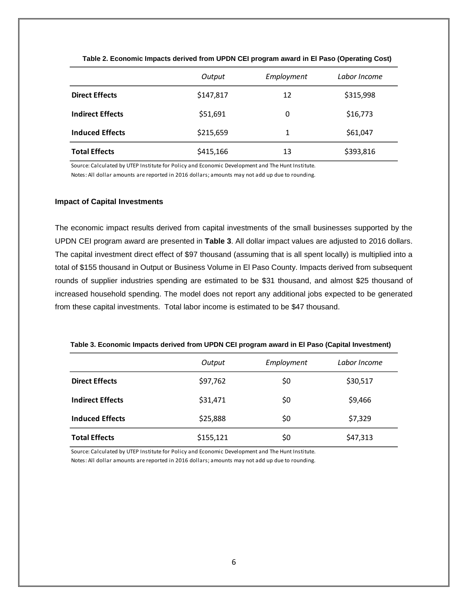|                         | Output    | Employment | Labor Income |
|-------------------------|-----------|------------|--------------|
| <b>Direct Effects</b>   | \$147,817 | 12         | \$315,998    |
| <b>Indirect Effects</b> | \$51,691  | 0          | \$16,773     |
| <b>Induced Effects</b>  | \$215,659 | 1          | \$61,047     |
| <b>Total Effects</b>    | \$415,166 | 13         | \$393,816    |

**Table 2. Economic Impacts derived from UPDN CEI program award in El Paso (Operating Cost)** 

Source: Calculated by UTEP Institute for Policy and Economic Development and The Hunt Institute.

Notes: All dollar amounts are reported in 2016 dollars; amounts may not add up due to rounding.

#### **Impact of Capital Investments**

The economic impact results derived from capital investments of the small businesses supported by the UPDN CEI program award are presented in **Table 3**. All dollar impact values are adjusted to 2016 dollars. The capital investment direct effect of \$97 thousand (assuming that is all spent locally) is multiplied into a total of \$155 thousand in Output or Business Volume in El Paso County. Impacts derived from subsequent rounds of supplier industries spending are estimated to be \$31 thousand, and almost \$25 thousand of increased household spending. The model does not report any additional jobs expected to be generated from these capital investments. Total labor income is estimated to be \$47 thousand.

| Table 3. Economic Impacts derived from UPDN CEI program award in El Paso (Capital Investment) |  |
|-----------------------------------------------------------------------------------------------|--|
|                                                                                               |  |

|                         | Output    | Employment | Labor Income |
|-------------------------|-----------|------------|--------------|
| <b>Direct Effects</b>   | \$97,762  | \$0        | \$30,517     |
| <b>Indirect Effects</b> | \$31,471  | \$0        | \$9,466      |
| <b>Induced Effects</b>  | \$25,888  | \$0        | \$7,329      |
| <b>Total Effects</b>    | \$155,121 | \$0        | \$47,313     |

Source: Calculated by UTEP Institute for Policy and Economic Development and The Hunt Institute.

Notes: All dollar amounts are reported in 2016 dollars; amounts may not add up due to rounding.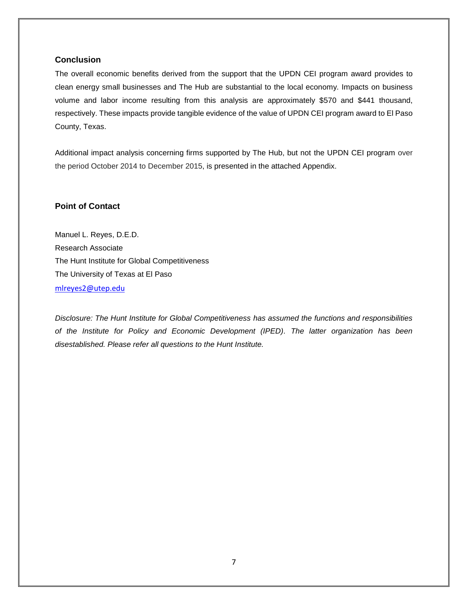#### **Conclusion**

The overall economic benefits derived from the support that the UPDN CEI program award provides to clean energy small businesses and The Hub are substantial to the local economy. Impacts on business volume and labor income resulting from this analysis are approximately \$570 and \$441 thousand, respectively. These impacts provide tangible evidence of the value of UPDN CEI program award to El Paso County, Texas.

Additional impact analysis concerning firms supported by The Hub, but not the UPDN CEI program over the period October 2014 to December 2015, is presented in the attached Appendix.

#### **Point of Contact**

Manuel L. Reyes, D.E.D. Research Associate The Hunt Institute for Global Competitiveness The University of Texas at El Paso [mlreyes2@utep.edu](mailto:mlreyes2@utep.edu) 

*Disclosure: The Hunt Institute for Global Competitiveness has assumed the functions and responsibilities of the Institute for Policy and Economic Development (IPED). The latter organization has been disestablished. Please refer all questions to the Hunt Institute.*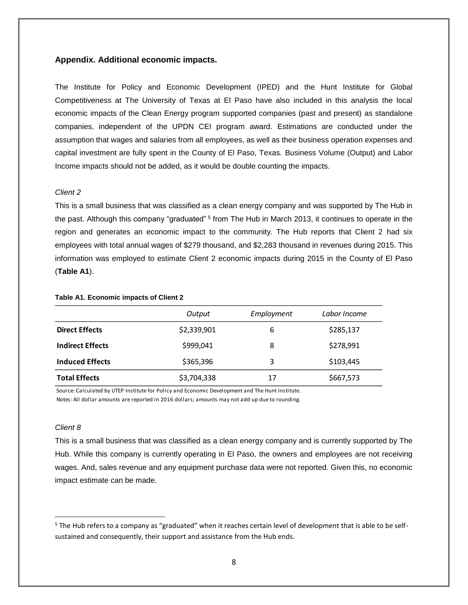#### **Appendix. Additional economic impacts.**

The Institute for Policy and Economic Development (IPED) and the Hunt Institute for Global Competitiveness at The University of Texas at El Paso have also included in this analysis the local economic impacts of the Clean Energy program supported companies (past and present) as standalone companies, independent of the UPDN CEI program award. Estimations are conducted under the assumption that wages and salaries from all employees, as well as their business operation expenses and capital investment are fully spent in the County of El Paso, Texas. Business Volume (Output) and Labor Income impacts should not be added, as it would be double counting the impacts.

#### *Client 2*

This is a small business that was classified as a clean energy company and was supported by The Hub in the past. Although this company "graduated" <sup>5</sup> from The Hub in March 2013, it continues to operate in the region and generates an economic impact to the community. The Hub reports that Client 2 had six employees with total annual wages of \$279 thousand, and \$2,283 thousand in revenues during 2015. This information was employed to estimate Client 2 economic impacts during 2015 in the County of El Paso (**Table A1**).

#### **Table A1. Economic impacts of Client 2**

|                         | Output      | Employment | Labor Income |
|-------------------------|-------------|------------|--------------|
| <b>Direct Effects</b>   | \$2,339,901 | 6          | \$285,137    |
| <b>Indirect Effects</b> | \$999,041   | 8          | \$278,991    |
| <b>Induced Effects</b>  | \$365,396   | 3          | \$103,445    |
| <b>Total Effects</b>    | \$3,704,338 | 17         | \$667,573    |

Source: Calculated by UTEP Institute for Policy and Economic Development and The Hunt Institute. Notes: All dollar amounts are reported in 2016 dollars; amounts may not add up due to rounding.

#### *Client 8*

 $\overline{\phantom{a}}$ 

This is a small business that was classified as a clean energy company and is currently supported by The Hub. While this company is currently operating in El Paso, the owners and employees are not receiving wages. And, sales revenue and any equipment purchase data were not reported. Given this, no economic impact estimate can be made.

<sup>&</sup>lt;sup>5</sup> The Hub refers to a company as "graduated" when it reaches certain level of development that is able to be selfsustained and consequently, their support and assistance from the Hub ends.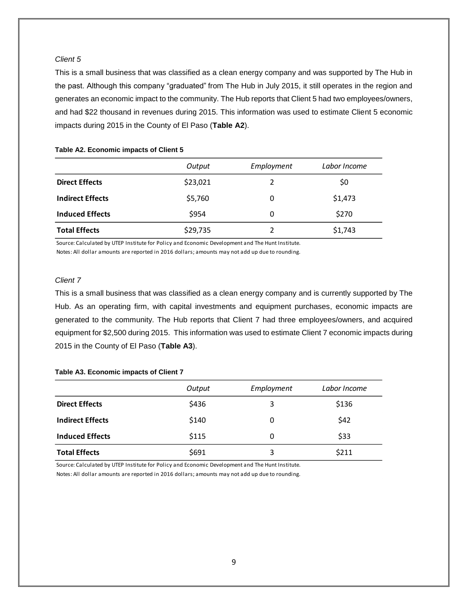#### *Client 5*

This is a small business that was classified as a clean energy company and was supported by The Hub in the past. Although this company "graduated" from The Hub in July 2015, it still operates in the region and generates an economic impact to the community. The Hub reports that Client 5 had two employees/owners, and had \$22 thousand in revenues during 2015. This information was used to estimate Client 5 economic impacts during 2015 in the County of El Paso (**Table A2**).

#### **Table A2. Economic impacts of Client 5**

|                         | Output   | Employment | Labor Income |
|-------------------------|----------|------------|--------------|
| <b>Direct Effects</b>   | \$23,021 | າ          | \$0          |
| <b>Indirect Effects</b> | \$5,760  | 0          | \$1,473      |
| <b>Induced Effects</b>  | \$954    | 0          | \$270        |
| <b>Total Effects</b>    | \$29,735 | 2          | \$1,743      |

Source: Calculated by UTEP Institute for Policy and Economic Development and The Hunt Institute.

Notes: All dollar amounts are reported in 2016 dollars; amounts may not add up due to rounding.

#### *Client 7*

This is a small business that was classified as a clean energy company and is currently supported by The Hub. As an operating firm, with capital investments and equipment purchases, economic impacts are generated to the community. The Hub reports that Client 7 had three employees/owners, and acquired equipment for \$2,500 during 2015. This information was used to estimate Client 7 economic impacts during 2015 in the County of El Paso (**Table A3**).

#### **Table A3. Economic impacts of Client 7**

|                         | Output | Employment | Labor Income |
|-------------------------|--------|------------|--------------|
| <b>Direct Effects</b>   | \$436  | 3          | \$136        |
| <b>Indirect Effects</b> | \$140  | 0          | \$42         |
| <b>Induced Effects</b>  | \$115  | 0          | \$33         |
| <b>Total Effects</b>    | \$691  | 3          | \$211        |

Source: Calculated by UTEP Institute for Policy and Economic Development and The Hunt Institute.

Notes: All dollar amounts are reported in 2016 dollars; amounts may not add up due to rounding.